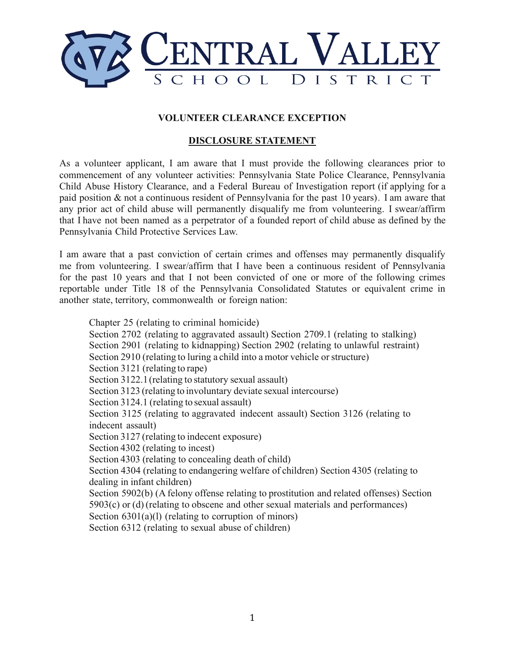

## **VOLUNTEER CLEARANCE EXCEPTION**

## **DISCLOSURE STATEMENT**

As a volunteer applicant, I am aware that I must provide the following clearances prior to commencement of any volunteer activities: Pennsylvania State Police Clearance, Pennsylvania Child Abuse History Clearance, and a Federal Bureau of Investigation report (if applying for a paid position & not a continuous resident of Pennsylvania for the past 10 years). I am aware that any prior act of child abuse will permanently disqualify me from volunteering. I swear/affirm that I have not been named as a perpetrator of a founded report of child abuse as defined by the Pennsylvania Child Protective Services Law.

I am aware that a past conviction of certain crimes and offenses may permanently disqualify me from volunteering. I swear/affirm that I have been a continuous resident of Pennsylvania for the past 10 years and that I not been convicted of one or more of the following crimes reportable under Title 18 of the Pennsylvania Consolidated Statutes or equivalent crime in another state, territory, commonwealth or foreign nation:

Chapter 25 (relating to criminal homicide) Section 2702 (relating to aggravated assault) Section 2709.1 (relating to stalking) Section 2901 (relating to kidnapping) Section 2902 (relating to unlawful restraint) Section 2910 (relating to luring a child into a motor vehicle or structure) Section 3121 (relating to rape) Section 3122.1(relating to statutory sexual assault) Section 3123 (relating to involuntary deviate sexual intercourse) Section 3124.1 (relating to sexual assault) Section 3125 (relating to aggravated indecent assault) Section 3126 (relating to indecent assault) Section 3127 (relating to indecent exposure) Section 4302 (relating to incest) Section 4303 (relating to concealing death of child) Section 4304 (relating to endangering welfare of children) Section 4305 (relating to dealing in infant children) Section 5902(b) (A felony offense relating to prostitution and related offenses) Section 5903(c) or (d) (relating to obscene and other sexual materials and performances) Section 6301(a)(l) (relating to corruption of minors) Section 6312 (relating to sexual abuse of children)